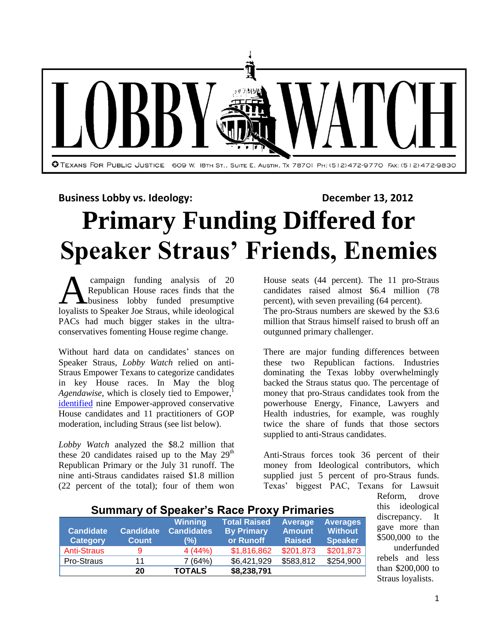

**Business Lobby vs. Ideology: December 13, 2012** 

**Primary Funding Differed for**

# **Speaker Straus' Friends, Enemies**

campaign funding analysis of 20 Republican House races finds that the business lobby funded presumptive **Campaign funding analysis of 20**<br>Republican House races finds that the<br>loyalists to Speaker Joe Straus, while ideological PACs had much bigger stakes in the ultraconservatives fomenting House regime change.

Without hard data on candidates' stances on Speaker Straus, *Lobby Watch* relied on anti-Straus Empower Texans to categorize candidates in key House races. In May the blog *Agendawise*, which is closely tied to  $Empower$ ,<sup>1</sup> [identified](http://www.agendawise.com/2012/05/murphy-turners-woes/) nine Empower-approved conservative House candidates and 11 practitioners of GOP moderation, including Straus (see list below).

*Lobby Watch* analyzed the \$8.2 million that these 20 candidates raised up to the May  $29<sup>th</sup>$ Republican Primary or the July 31 runoff. The nine anti-Straus candidates raised \$1.8 million (22 percent of the total); four of them won

House seats (44 percent). The 11 pro-Straus candidates raised almost \$6.4 million (78 percent), with seven prevailing (64 percent). The pro-Straus numbers are skewed by the \$3.6 million that Straus himself raised to brush off an outgunned primary challenger.

There are major funding differences between these two Republican factions. Industries dominating the Texas lobby overwhelmingly backed the Straus status quo. The percentage of money that pro-Straus candidates took from the powerhouse Energy, Finance, Lawyers and Health industries, for example, was roughly twice the share of funds that those sectors supplied to anti-Straus candidates.

Anti-Straus forces took 36 percent of their money from Ideological contributors, which supplied just 5 percent of pro-Straus funds. Texas' biggest PAC, Texans for Lawsuit

| <b>UMINIMITY OF UPCANCE OF NAUGH FUATE FINIMITION</b> |                                  |                                            |                                                       |                                           |                                                     |  |
|-------------------------------------------------------|----------------------------------|--------------------------------------------|-------------------------------------------------------|-------------------------------------------|-----------------------------------------------------|--|
| <b>Candidate</b><br><b>Category</b>                   | <b>Candidate</b><br><b>Count</b> | <b>Winning</b><br><b>Candidates</b><br>(%) | <b>Total Raised</b><br><b>By Primary</b><br>or Runoff | Average<br><b>Amount</b><br><b>Raised</b> | <b>Averages</b><br><b>Without</b><br><b>Speaker</b> |  |
| <b>Anti-Straus</b>                                    |                                  | 4(44%)                                     | \$1,816,862                                           | \$201,873                                 | \$201,873                                           |  |
| Pro-Straus                                            | 11                               | 7(64%)                                     | \$6,421,929                                           | \$583,812                                 | \$254,900                                           |  |
|                                                       | 20                               | <b>TOTALS</b>                              | \$8,238,791                                           |                                           |                                                     |  |

#### **Summary of Speaker's Race Proxy Primaries**

Reform, drove this ideological discrepancy. It gave more than \$500,000 to the underfunded rebels and less than \$200,000 to Straus loyalists.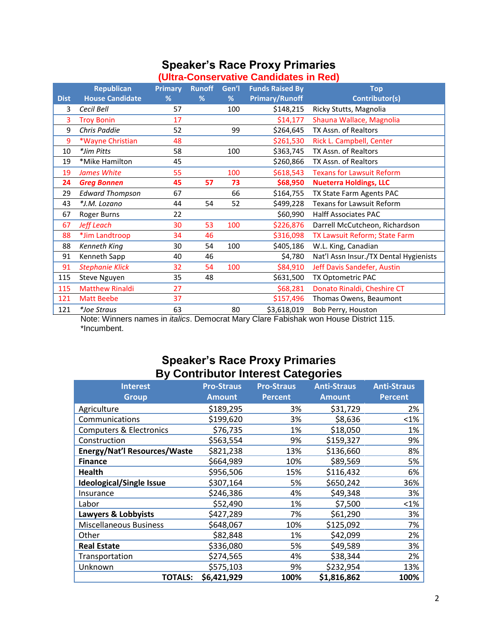## **Speaker's Race Proxy Primaries**

| (Ultra-Conservative Candidates in Red) |                |               |       |                        |                                        |  |
|----------------------------------------|----------------|---------------|-------|------------------------|----------------------------------------|--|
| <b>Republican</b>                      | <b>Primary</b> | <b>Runoff</b> | Gen'l | <b>Funds Raised By</b> | <b>Top</b>                             |  |
| <b>House Candidate</b>                 | %              | %             | %     | <b>Primary/Runoff</b>  | Contributor(s)                         |  |
| Cecil Bell                             | 57             |               | 100   | \$148,215              | Ricky Stutts, Magnolia                 |  |
| <b>Troy Bonin</b>                      | 17             |               |       | \$14,177               | Shauna Wallace, Magnolia               |  |
| Chris Paddie                           | 52             |               | 99    | \$264,645              | TX Assn. of Realtors                   |  |
| *Wayne Christian                       | 48             |               |       | \$261,530              | Rick L. Campbell, Center               |  |
| *Jim Pitts                             | 58             |               | 100   | \$363,745              | TX Assn. of Realtors                   |  |
| *Mike Hamilton                         | 45             |               |       | \$260,866              | TX Assn. of Realtors                   |  |
| James White                            | 55             |               | 100   | \$618,543              | <b>Texans for Lawsuit Reform</b>       |  |
| <b>Greg Bonnen</b>                     | 45             | 57            | 73    | \$68,950               | <b>Nueterra Holdings, LLC</b>          |  |
| <b>Edward Thompson</b>                 | 67             |               | 66    | \$164,755              | TX State Farm Agents PAC               |  |
| *J.M. Lozano                           | 44             | 54            | 52    | \$499,228              | Texans for Lawsuit Reform              |  |
| Roger Burns                            | 22             |               |       | \$60,990               | <b>Halff Associates PAC</b>            |  |
| <b>Jeff Leach</b>                      | 30             | 53            | 100   | \$226,876              | Darrell McCutcheon, Richardson         |  |
| *Jim Landtroop                         | 34             | 46            |       | \$316,098              | TX Lawsuit Reform; State Farm          |  |
| Kenneth King                           | 30             | 54            | 100   | \$405,186              | W.L. King, Canadian                    |  |
| Kenneth Sapp                           | 40             | 46            |       | \$4,780                | Nat'l Assn Insur./TX Dental Hygienists |  |
| <b>Stephanie Klick</b>                 | 32             | 54            | 100   | \$84,910               | Jeff Davis Sandefer, Austin            |  |
| Steve Nguyen                           | 35             | 48            |       | \$631,500              | TX Optometric PAC                      |  |
| <b>Matthew Rinaldi</b>                 | 27             |               |       | \$68,281               | Donato Rinaldi, Cheshire CT            |  |
| Matt Beebe                             | 37             |               |       | \$157,496              | Thomas Owens, Beaumont                 |  |
| *Joe Straus                            | 63             |               | 80    | \$3,618,019            | Bob Perry, Houston                     |  |
|                                        |                |               |       |                        |                                        |  |

Note: Winners names in *italics*. Democrat Mary Clare Fabishak won House District 115. \*Incumbent.

### **Speaker's Race Proxy Primaries By Contributor Interest Categories**

| <b>Interest</b><br><b>Group</b>     | <b>Pro-Straus</b><br><b>Amount</b> | <b>Pro-Straus</b><br><b>Percent</b> | <b>Anti-Straus</b><br><b>Amount</b> | <b>Anti-Straus</b><br><b>Percent</b> |
|-------------------------------------|------------------------------------|-------------------------------------|-------------------------------------|--------------------------------------|
| Agriculture                         | \$189,295                          | 3%                                  | \$31,729                            | 2%                                   |
| Communications                      | \$199,620                          | 3%                                  | \$8,636                             | $< 1\%$                              |
| <b>Computers &amp; Electronics</b>  | \$76,735                           | 1%                                  | \$18,050                            | 1%                                   |
| Construction                        | \$563,554                          | 9%                                  | \$159,327                           | 9%                                   |
| <b>Energy/Nat'l Resources/Waste</b> | \$821,238                          | 13%                                 | \$136,660                           | 8%                                   |
| <b>Finance</b>                      | \$664,989                          | 10%                                 | \$89,569                            | 5%                                   |
| <b>Health</b>                       | \$956,506                          | 15%                                 | \$116,432                           | 6%                                   |
| <b>Ideological/Single Issue</b>     | \$307,164                          | 5%                                  | \$650,242                           | 36%                                  |
| Insurance                           | \$246,386                          | 4%                                  | \$49,348                            | 3%                                   |
| Labor                               | \$52,490                           | 1%                                  | \$7,500                             | $< 1\%$                              |
| Lawyers & Lobbyists                 | \$427,289                          | 7%                                  | \$61,290                            | 3%                                   |
| <b>Miscellaneous Business</b>       | \$648,067                          | 10%                                 | \$125,092                           | 7%                                   |
| Other                               | \$82,848                           | 1%                                  | \$42,099                            | 2%                                   |
| <b>Real Estate</b>                  | \$336,080                          | 5%                                  | \$49,589                            | 3%                                   |
| Transportation                      | \$274,565                          | 4%                                  | \$38,344                            | 2%                                   |
| Unknown                             | \$575,103                          | 9%                                  | \$232,954                           | 13%                                  |
| <b>TOTALS:</b>                      | \$6,421,929                        | 100%                                | \$1,816,862                         | 100%                                 |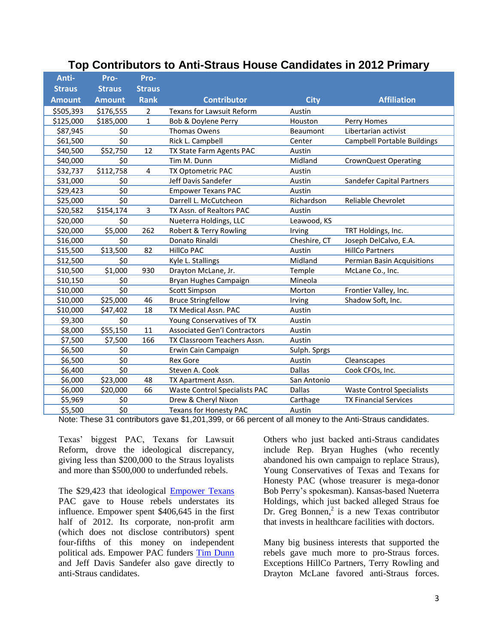| Anti-         | Pro-          | Pro-          |                                      |               |                                    |
|---------------|---------------|---------------|--------------------------------------|---------------|------------------------------------|
| <b>Straus</b> | <b>Straus</b> | <b>Straus</b> |                                      |               |                                    |
| <b>Amount</b> | <b>Amount</b> | <b>Rank</b>   | <b>Contributor</b>                   | <b>City</b>   | <b>Affiliation</b>                 |
| \$505,393     | \$176,555     | 2             | <b>Texans for Lawsuit Reform</b>     | Austin        |                                    |
| \$125,000     | \$185,000     | $\mathbf{1}$  | Bob & Doylene Perry                  | Houston       | Perry Homes                        |
| \$87,945      | \$0           |               | Thomas Owens                         | Beaumont      | Libertarian activist               |
| \$61,500      | \$0           |               | Rick L. Campbell                     | Center        | <b>Campbell Portable Buildings</b> |
| \$40,500      | \$52,750      | 12            | TX State Farm Agents PAC             | Austin        |                                    |
| \$40,000      | \$0           |               | Tim M. Dunn                          | Midland       | <b>CrownQuest Operating</b>        |
| \$32,737      | \$112,758     | 4             | TX Optometric PAC                    | Austin        |                                    |
| \$31,000      | \$0           |               | Jeff Davis Sandefer                  | Austin        | Sandefer Capital Partners          |
| \$29,423      | \$0           |               | <b>Empower Texans PAC</b>            | Austin        |                                    |
| \$25,000      | \$0           |               | Darrell L. McCutcheon                | Richardson    | Reliable Chevrolet                 |
| \$20,582      | \$154,174     | 3             | TX Assn. of Realtors PAC             | Austin        |                                    |
| \$20,000      | \$0           |               | Nueterra Holdings, LLC               | Leawood, KS   |                                    |
| \$20,000      | \$5,000       | 262           | Robert & Terry Rowling               | Irving        | TRT Holdings, Inc.                 |
| \$16,000      | \$0           |               | Donato Rinaldi                       | Cheshire, CT  | Joseph DelCalvo, E.A.              |
| \$15,500      | \$13,500      | 82            | <b>HillCo PAC</b>                    | Austin        | <b>HillCo Partners</b>             |
| \$12,500      | \$0           |               | Kyle L. Stallings                    | Midland       | Permian Basin Acquisitions         |
| \$10,500      | \$1,000       | 930           | Drayton McLane, Jr.                  | Temple        | McLane Co., Inc.                   |
| \$10,150      | \$0           |               | Bryan Hughes Campaign                | Mineola       |                                    |
| \$10,000      | \$0           |               | <b>Scott Simpson</b>                 | Morton        | Frontier Valley, Inc.              |
| \$10,000      | \$25,000      | 46            | <b>Bruce Stringfellow</b>            | Irving        | Shadow Soft, Inc.                  |
| \$10,000      | \$47,402      | 18            | TX Medical Assn. PAC                 | Austin        |                                    |
| \$9,300       | \$0           |               | Young Conservatives of TX            | Austin        |                                    |
| \$8,000       | \$55,150      | 11            | <b>Associated Gen'l Contractors</b>  | Austin        |                                    |
| \$7,500       | \$7,500       | 166           | TX Classroom Teachers Assn.          | Austin        |                                    |
| \$6,500       | \$0           |               | Erwin Cain Campaign                  | Sulph. Sprgs  |                                    |
| \$6,500       | \$0           |               | <b>Rex Gore</b>                      | Austin        | Cleanscapes                        |
| \$6,400       | \$0           |               | Steven A. Cook                       | Dallas        | Cook CFOs, Inc.                    |
| \$6,000       | \$23,000      | 48            | TX Apartment Assn.                   | San Antonio   |                                    |
| \$6,000       | \$20,000      | 66            | <b>Waste Control Specialists PAC</b> | <b>Dallas</b> | <b>Waste Control Specialists</b>   |
| \$5,969       | \$0           |               | Drew & Cheryl Nixon                  | Carthage      | <b>TX Financial Services</b>       |
| \$5,500       | \$0           |               | Texans for Honesty PAC               | Austin        |                                    |

#### **Top Contributors to Anti-Straus House Candidates in 2012 Primary**

Note: These 31 contributors gave \$1,201,399, or 66 percent of all money to the Anti-Straus candidates.

Texas' biggest PAC, Texans for Lawsuit Reform, drove the ideological discrepancy, giving less than \$200,000 to the Straus loyalists and more than \$500,000 to underfunded rebels.

The \$29,423 that ideological [Empower Texans](http://www.tpj.org/2012/09/lobby-watch-empower-texans-cowboys.html) PAC gave to House rebels understates its influence. Empower spent \$406,645 in the first half of 2012. Its corporate, non-profit arm (which does not disclose contributors) spent four-fifths of this money on independent political ads. Empower PAC funders [Tim Dunn](http://www.texasobserver.org/2666-saving-speaker-craddick-hometown-boys-from-midland-angle-to-unseat-unruly-reps/) and Jeff Davis Sandefer also gave directly to anti-Straus candidates.

Others who just backed anti-Straus candidates include Rep. Bryan Hughes (who recently abandoned his own campaign to replace Straus), Young Conservatives of Texas and Texans for Honesty PAC (whose treasurer is mega-donor Bob Perry's spokesman). Kansas-based Nueterra Holdings, which just backed alleged Straus foe Dr. Greg Bonnen,<sup>2</sup> is a new Texas contributor that invests in healthcare facilities with doctors.

Many big business interests that supported the rebels gave much more to pro-Straus forces. Exceptions HillCo Partners, Terry Rowling and Drayton McLane favored anti-Straus forces.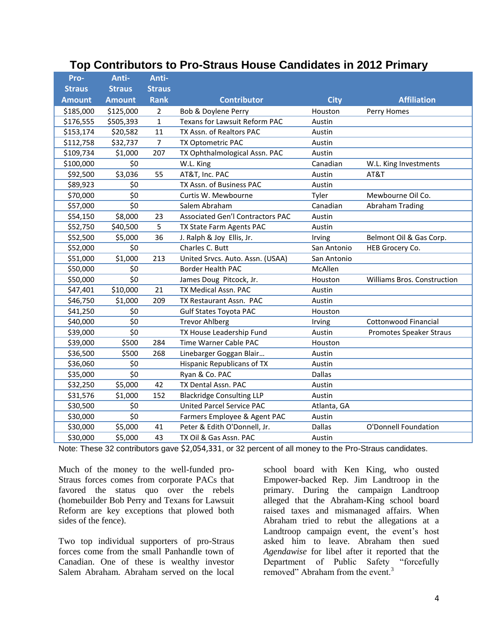|  |  | Top Contributors to Pro-Straus House Candidates in 2012 Primary |  |  |  |  |
|--|--|-----------------------------------------------------------------|--|--|--|--|
|--|--|-----------------------------------------------------------------|--|--|--|--|

| Pro-          | Anti-         | Anti-          |                                         |               |                             |
|---------------|---------------|----------------|-----------------------------------------|---------------|-----------------------------|
| <b>Straus</b> | <b>Straus</b> | <b>Straus</b>  |                                         |               |                             |
| <b>Amount</b> | <b>Amount</b> | <b>Rank</b>    | <b>Contributor</b>                      | <b>City</b>   | <b>Affiliation</b>          |
| \$185,000     | \$125,000     | $\overline{2}$ | Bob & Doylene Perry                     | Houston       | Perry Homes                 |
| \$176,555     | \$505,393     | $\mathbf{1}$   | Texans for Lawsuit Reform PAC           | Austin        |                             |
| \$153,174     | \$20,582      | 11             | TX Assn. of Realtors PAC                | Austin        |                             |
| \$112,758     | \$32,737      | $\overline{7}$ | TX Optometric PAC                       | Austin        |                             |
| \$109,734     | \$1,000       | 207            | TX Ophthalmological Assn. PAC           | Austin        |                             |
| \$100,000     | \$0           |                | W.L. King                               | Canadian      | W.L. King Investments       |
| \$92,500      | \$3,036       | 55             | AT&T, Inc. PAC                          | Austin        | AT&T                        |
| \$89,923      | \$0           |                | TX Assn. of Business PAC                | Austin        |                             |
| \$70,000      | \$0           |                | Curtis W. Mewbourne                     | Tyler         | Mewbourne Oil Co.           |
| \$57,000      | \$0           |                | Salem Abraham                           | Canadian      | <b>Abraham Trading</b>      |
| \$54,150      | \$8,000       | 23             | <b>Associated Gen'l Contractors PAC</b> | Austin        |                             |
| \$52,750      | \$40,500      | 5              | TX State Farm Agents PAC                | Austin        |                             |
| \$52,500      | \$5,000       | 36             | J. Ralph & Joy Ellis, Jr.               | Irving        | Belmont Oil & Gas Corp.     |
| \$52,000      | \$0           |                | Charles C. Butt                         | San Antonio   | HEB Grocery Co.             |
| \$51,000      | \$1,000       | 213            | United Srvcs. Auto. Assn. (USAA)        | San Antonio   |                             |
| \$50,000      | \$0           |                | <b>Border Health PAC</b>                | McAllen       |                             |
| \$50,000      | \$0           |                | James Doug Pitcock, Jr.                 | Houston       | Williams Bros. Construction |
| \$47,401      | \$10,000      | 21             | TX Medical Assn. PAC                    | Austin        |                             |
| \$46,750      | \$1,000       | 209            | TX Restaurant Assn. PAC                 | Austin        |                             |
| \$41,250      | \$0           |                | <b>Gulf States Toyota PAC</b>           | Houston       |                             |
| \$40,000      | \$0           |                | <b>Trevor Ahlberg</b>                   | Irving        | <b>Cottonwood Financial</b> |
| \$39,000      | \$0           |                | TX House Leadership Fund                | Austin        | Promotes Speaker Straus     |
| \$39,000      | \$500         | 284            | Time Warner Cable PAC                   | Houston       |                             |
| \$36,500      | \$500         | 268            | Linebarger Goggan Blair                 | Austin        |                             |
| \$36,060      | \$0           |                | Hispanic Republicans of TX              | Austin        |                             |
| \$35,000      | \$0           |                | Ryan & Co. PAC                          | <b>Dallas</b> |                             |
| \$32,250      | \$5,000       | 42             | TX Dental Assn. PAC                     | Austin        |                             |
| \$31,576      | \$1,000       | 152            | <b>Blackridge Consulting LLP</b>        | Austin        |                             |
| \$30,500      | \$0           |                | <b>United Parcel Service PAC</b>        | Atlanta, GA   |                             |
| \$30,000      | \$0           |                | Farmers Employee & Agent PAC            | Austin        |                             |
| \$30,000      | \$5,000       | 41             | Peter & Edith O'Donnell, Jr.            | <b>Dallas</b> | O'Donnell Foundation        |
| \$30,000      | \$5,000       | 43             | TX Oil & Gas Assn. PAC                  | Austin        |                             |

Note: These 32 contributors gave \$2,054,331, or 32 percent of all money to the Pro-Straus candidates.

Much of the money to the well-funded pro-Straus forces comes from corporate PACs that favored the status quo over the rebels (homebuilder Bob Perry and Texans for Lawsuit Reform are key exceptions that plowed both sides of the fence).

Two top individual supporters of pro-Straus forces come from the small Panhandle town of Canadian. One of these is wealthy investor Salem Abraham. Abraham served on the local

school board with Ken King, who ousted Empower-backed Rep. Jim Landtroop in the primary. During the campaign Landtroop alleged that the Abraham-King school board raised taxes and mismanaged affairs. When Abraham tried to rebut the allegations at a Landtroop campaign event, the event's host asked him to leave. Abraham then sued *Agendawise* for libel after it reported that the Department of Public Safety "forcefully removed" Abraham from the event.<sup>3</sup>